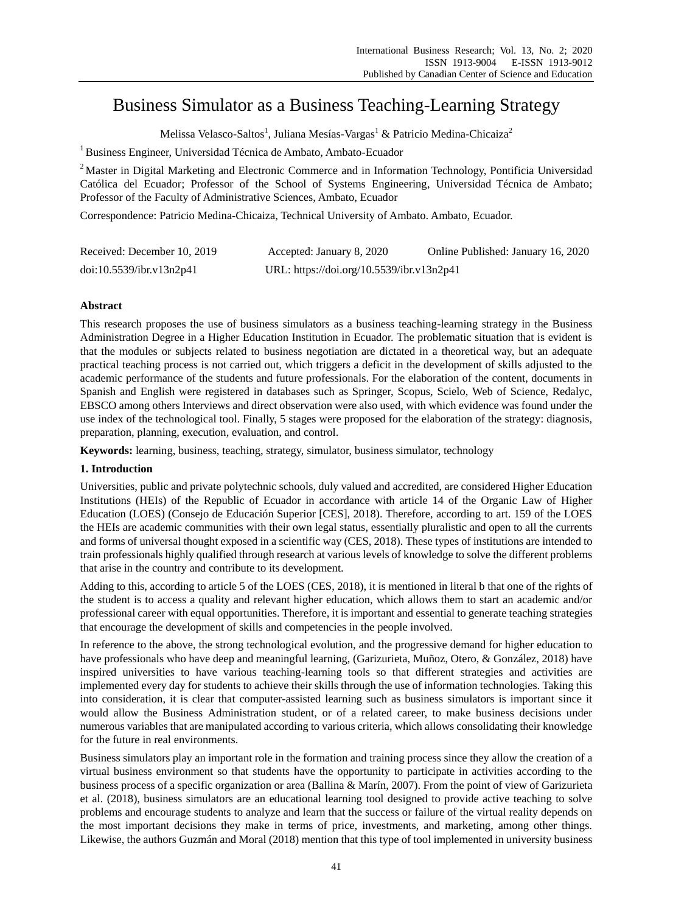# Business Simulator as a Business Teaching-Learning Strategy

Melissa Velasco-Saltos<sup>1</sup>, Juliana Mes ás-Vargas $^1$  & Patricio Medina-Chicaiza $^2$ 

<sup>1</sup> Business Engineer, Universidad Técnica de Ambato, Ambato-Ecuador

<sup>2</sup> Master in Digital Marketing and Electronic Commerce and in Information Technology, Pontificia Universidad Católica del Ecuador; Professor of the School of Systems Engineering, Universidad Técnica de Ambato; Professor of the Faculty of Administrative Sciences, Ambato, Ecuador

Correspondence: Patricio Medina-Chicaiza, Technical University of Ambato. Ambato, Ecuador.

| Received: December 10, 2019 | Accepted: January 8, 2020                 | Online Published: January 16, 2020 |
|-----------------------------|-------------------------------------------|------------------------------------|
| doi:10.5539/ibr.v13n2p41    | URL: https://doi.org/10.5539/ibr.v13n2p41 |                                    |

# **Abstract**

This research proposes the use of business simulators as a business teaching-learning strategy in the Business Administration Degree in a Higher Education Institution in Ecuador. The problematic situation that is evident is that the modules or subjects related to business negotiation are dictated in a theoretical way, but an adequate practical teaching process is not carried out, which triggers a deficit in the development of skills adjusted to the academic performance of the students and future professionals. For the elaboration of the content, documents in Spanish and English were registered in databases such as Springer, Scopus, Scielo, Web of Science, Redalyc, EBSCO among others Interviews and direct observation were also used, with which evidence was found under the use index of the technological tool. Finally, 5 stages were proposed for the elaboration of the strategy: diagnosis, preparation, planning, execution, evaluation, and control.

**Keywords:** learning, business, teaching, strategy, simulator, business simulator, technology

# **1. Introduction**

Universities, public and private polytechnic schools, duly valued and accredited, are considered Higher Education Institutions (HEIs) of the Republic of Ecuador in accordance with article 14 of the Organic Law of Higher Education (LOES) (Consejo de Educación Superior [CES], 2018). Therefore, according to art. 159 of the LOES the HEIs are academic communities with their own legal status, essentially pluralistic and open to all the currents and forms of universal thought exposed in a scientific way (CES, 2018). These types of institutions are intended to train professionals highly qualified through research at various levels of knowledge to solve the different problems that arise in the country and contribute to its development.

Adding to this, according to article 5 of the LOES (CES, 2018), it is mentioned in literal b that one of the rights of the student is to access a quality and relevant higher education, which allows them to start an academic and/or professional career with equal opportunities. Therefore, it is important and essential to generate teaching strategies that encourage the development of skills and competencies in the people involved.

In reference to the above, the strong technological evolution, and the progressive demand for higher education to have professionals who have deep and meaningful learning, (Garizurieta, Muñoz, Otero, & González, 2018) have inspired universities to have various teaching-learning tools so that different strategies and activities are implemented every day for students to achieve their skills through the use of information technologies. Taking this into consideration, it is clear that computer-assisted learning such as business simulators is important since it would allow the Business Administration student, or of a related career, to make business decisions under numerous variables that are manipulated according to various criteria, which allows consolidating their knowledge for the future in real environments.

Business simulators play an important role in the formation and training process since they allow the creation of a virtual business environment so that students have the opportunity to participate in activities according to the business process of a specific organization or area (Ballina & Marín, 2007). From the point of view of Garizurieta et al. (2018), business simulators are an educational learning tool designed to provide active teaching to solve problems and encourage students to analyze and learn that the success or failure of the virtual reality depends on the most important decisions they make in terms of price, investments, and marketing, among other things. Likewise, the authors Guzmán and Moral (2018) mention that this type of tool implemented in university business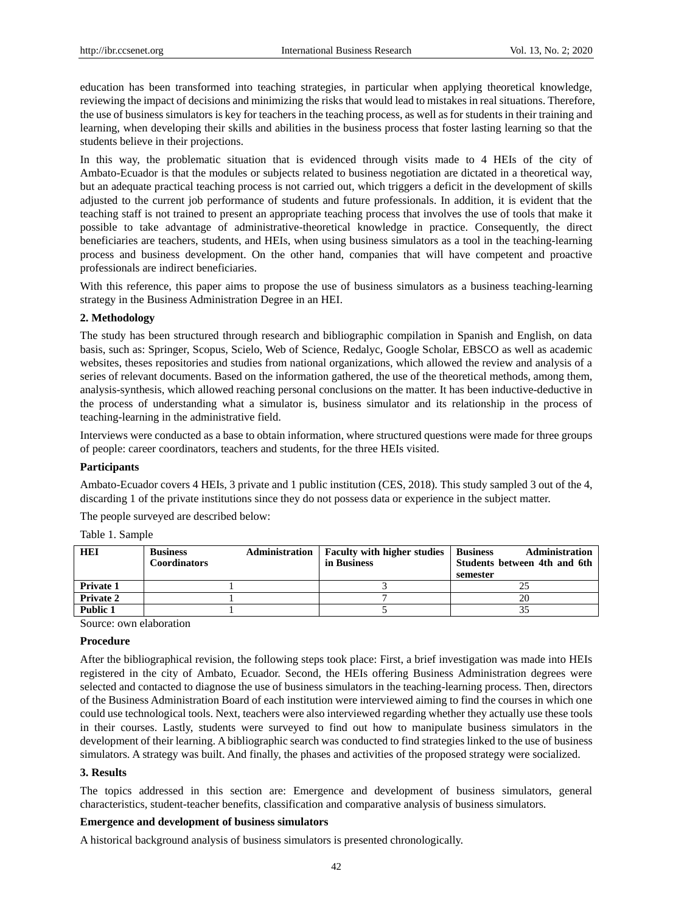education has been transformed into teaching strategies, in particular when applying theoretical knowledge, reviewing the impact of decisions and minimizing the risks that would lead to mistakes in real situations. Therefore, the use of business simulators is key for teachers in the teaching process, as well as for students in their training and learning, when developing their skills and abilities in the business process that foster lasting learning so that the students believe in their projections.

In this way, the problematic situation that is evidenced through visits made to 4 HEIs of the city of Ambato-Ecuador is that the modules or subjects related to business negotiation are dictated in a theoretical way, but an adequate practical teaching process is not carried out, which triggers a deficit in the development of skills adjusted to the current job performance of students and future professionals. In addition, it is evident that the teaching staff is not trained to present an appropriate teaching process that involves the use of tools that make it possible to take advantage of administrative-theoretical knowledge in practice. Consequently, the direct beneficiaries are teachers, students, and HEIs, when using business simulators as a tool in the teaching-learning process and business development. On the other hand, companies that will have competent and proactive professionals are indirect beneficiaries.

With this reference, this paper aims to propose the use of business simulators as a business teaching-learning strategy in the Business Administration Degree in an HEI.

#### **2. Methodology**

The study has been structured through research and bibliographic compilation in Spanish and English, on data basis, such as: Springer, Scopus, Scielo, Web of Science, Redalyc, Google Scholar, EBSCO as well as academic websites, theses repositories and studies from national organizations, which allowed the review and analysis of a series of relevant documents. Based on the information gathered, the use of the theoretical methods, among them, analysis-synthesis, which allowed reaching personal conclusions on the matter. It has been inductive-deductive in the process of understanding what a simulator is, business simulator and its relationship in the process of teaching-learning in the administrative field.

Interviews were conducted as a base to obtain information, where structured questions were made for three groups of people: career coordinators, teachers and students, for the three HEIs visited.

#### **Participants**

Ambato-Ecuador covers 4 HEIs, 3 private and 1 public institution (CES, 2018). This study sampled 3 out of the 4, discarding 1 of the private institutions since they do not possess data or experience in the subject matter.

The people surveyed are described below:

Table 1. Sample

| <b>HEI</b>       | <b>Business</b><br><b>Coordinators</b> | Administration | <b>Faculty with higher studies</b><br>in Business | <b>Administration</b><br><b>Business</b><br>Students between 4th and 6th<br>semester |
|------------------|----------------------------------------|----------------|---------------------------------------------------|--------------------------------------------------------------------------------------|
| <b>Private 1</b> |                                        |                |                                                   |                                                                                      |
| <b>Private 2</b> |                                        |                |                                                   | 20                                                                                   |
| <b>Public 1</b>  |                                        |                |                                                   |                                                                                      |

Source: own elaboration

#### **Procedure**

After the bibliographical revision, the following steps took place: First, a brief investigation was made into HEIs registered in the city of Ambato, Ecuador. Second, the HEIs offering Business Administration degrees were selected and contacted to diagnose the use of business simulators in the teaching-learning process. Then, directors of the Business Administration Board of each institution were interviewed aiming to find the courses in which one could use technological tools. Next, teachers were also interviewed regarding whether they actually use these tools in their courses. Lastly, students were surveyed to find out how to manipulate business simulators in the development of their learning. A bibliographic search was conducted to find strategies linked to the use of business simulators. A strategy was built. And finally, the phases and activities of the proposed strategy were socialized.

#### **3. Results**

The topics addressed in this section are: Emergence and development of business simulators, general characteristics, student-teacher benefits, classification and comparative analysis of business simulators.

#### **Emergence and development of business simulators**

A historical background analysis of business simulators is presented chronologically.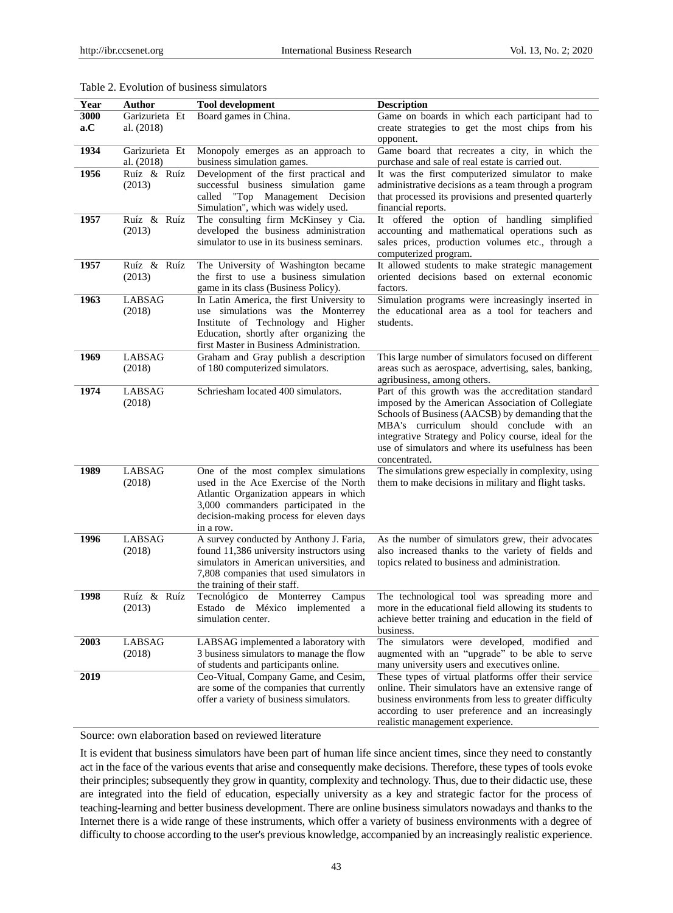| Year | Author                       | <b>Tool development</b>                                                             | <b>Description</b>                                                                                 |
|------|------------------------------|-------------------------------------------------------------------------------------|----------------------------------------------------------------------------------------------------|
| 3000 | Garizurieta Et               | Board games in China.                                                               | Game on boards in which each participant had to                                                    |
| a.C  | al. (2018)                   |                                                                                     | create strategies to get the most chips from his                                                   |
|      |                              |                                                                                     | opponent.                                                                                          |
| 1934 | Garizurieta Et<br>al. (2018) | Monopoly emerges as an approach to<br>business simulation games.                    | Game board that recreates a city, in which the<br>purchase and sale of real estate is carried out. |
| 1956 | Ruź & Ruź                    | Development of the first practical and                                              | It was the first computerized simulator to make                                                    |
|      | (2013)                       | successful business simulation game                                                 | administrative decisions as a team through a program                                               |
|      |                              | called "Top Management Decision                                                     | that processed its provisions and presented quarterly                                              |
|      |                              | Simulation", which was widely used.                                                 | financial reports.                                                                                 |
| 1957 | Ruź & Ruź                    | The consulting firm McKinsey y Cia.                                                 | It offered the option of handling simplified                                                       |
|      | (2013)                       | developed the business administration<br>simulator to use in its business seminars. | accounting and mathematical operations such as<br>sales prices, production volumes etc., through a |
|      |                              |                                                                                     | computerized program.                                                                              |
| 1957 | Ruź & Ruź                    | The University of Washington became                                                 | It allowed students to make strategic management                                                   |
|      | (2013)                       | the first to use a business simulation                                              | oriented decisions based on external economic                                                      |
|      |                              | game in its class (Business Policy).                                                | factors.                                                                                           |
| 1963 | LABSAG                       | In Latin America, the first University to                                           | Simulation programs were increasingly inserted in                                                  |
|      | (2018)                       | use simulations was the Monterrey                                                   | the educational area as a tool for teachers and                                                    |
|      |                              | Institute of Technology and Higher                                                  | students.                                                                                          |
|      |                              | Education, shortly after organizing the                                             |                                                                                                    |
|      |                              | first Master in Business Administration.                                            |                                                                                                    |
| 1969 | LABSAG                       | Graham and Gray publish a description                                               | This large number of simulators focused on different                                               |
|      | (2018)                       | of 180 computerized simulators.                                                     | areas such as aerospace, advertising, sales, banking,<br>agribusiness, among others.               |
| 1974 | LABSAG                       | Schriesham located 400 simulators.                                                  | Part of this growth was the accreditation standard                                                 |
|      | (2018)                       |                                                                                     | imposed by the American Association of Collegiate                                                  |
|      |                              |                                                                                     | Schools of Business (AACSB) by demanding that the                                                  |
|      |                              |                                                                                     | MBA's curriculum should conclude with an                                                           |
|      |                              |                                                                                     | integrative Strategy and Policy course, ideal for the                                              |
|      |                              |                                                                                     | use of simulators and where its usefulness has been                                                |
|      |                              |                                                                                     | concentrated.                                                                                      |
| 1989 | LABSAG                       | One of the most complex simulations                                                 | The simulations grew especially in complexity, using                                               |
|      | (2018)                       | used in the Ace Exercise of the North                                               | them to make decisions in military and flight tasks.                                               |
|      |                              | Atlantic Organization appears in which<br>3,000 commanders participated in the      |                                                                                                    |
|      |                              | decision-making process for eleven days                                             |                                                                                                    |
|      |                              | in a row.                                                                           |                                                                                                    |
| 1996 | <b>LABSAG</b>                | A survey conducted by Anthony J. Faria,                                             | As the number of simulators grew, their advocates                                                  |
|      | (2018)                       | found 11,386 university instructors using                                           | also increased thanks to the variety of fields and                                                 |
|      |                              | simulators in American universities, and                                            | topics related to business and administration.                                                     |
|      |                              | 7,808 companies that used simulators in                                             |                                                                                                    |
|      |                              | the training of their staff.                                                        |                                                                                                    |
| 1998 | Ruź & Ruź                    | Tecnológico de Monterrey<br>Campus                                                  | The technological tool was spreading more and                                                      |
|      | (2013)                       | Estado de México implemented a<br>simulation center.                                | more in the educational field allowing its students to                                             |
|      |                              |                                                                                     | achieve better training and education in the field of<br>business.                                 |
| 2003 | LABSAG                       | LABSAG implemented a laboratory with                                                | The simulators were developed, modified and                                                        |
|      | (2018)                       | 3 business simulators to manage the flow                                            | augmented with an "upgrade" to be able to serve                                                    |
|      |                              | of students and participants online.                                                | many university users and executives online.                                                       |
| 2019 |                              | Ceo-Vitual, Company Game, and Cesim,                                                | These types of virtual platforms offer their service                                               |
|      |                              | are some of the companies that currently                                            | online. Their simulators have an extensive range of                                                |
|      |                              | offer a variety of business simulators.                                             | business environments from less to greater difficulty                                              |
|      |                              |                                                                                     | according to user preference and an increasingly                                                   |
|      |                              |                                                                                     | realistic management experience.                                                                   |

# Table 2. Evolution of business simulators

Source: own elaboration based on reviewed literature

It is evident that business simulators have been part of human life since ancient times, since they need to constantly act in the face of the various events that arise and consequently make decisions. Therefore, these types of tools evoke their principles; subsequently they grow in quantity, complexity and technology. Thus, due to their didactic use, these are integrated into the field of education, especially university as a key and strategic factor for the process of teaching-learning and better business development. There are online business simulators nowadays and thanks to the Internet there is a wide range of these instruments, which offer a variety of business environments with a degree of difficulty to choose according to the user's previous knowledge, accompanied by an increasingly realistic experience.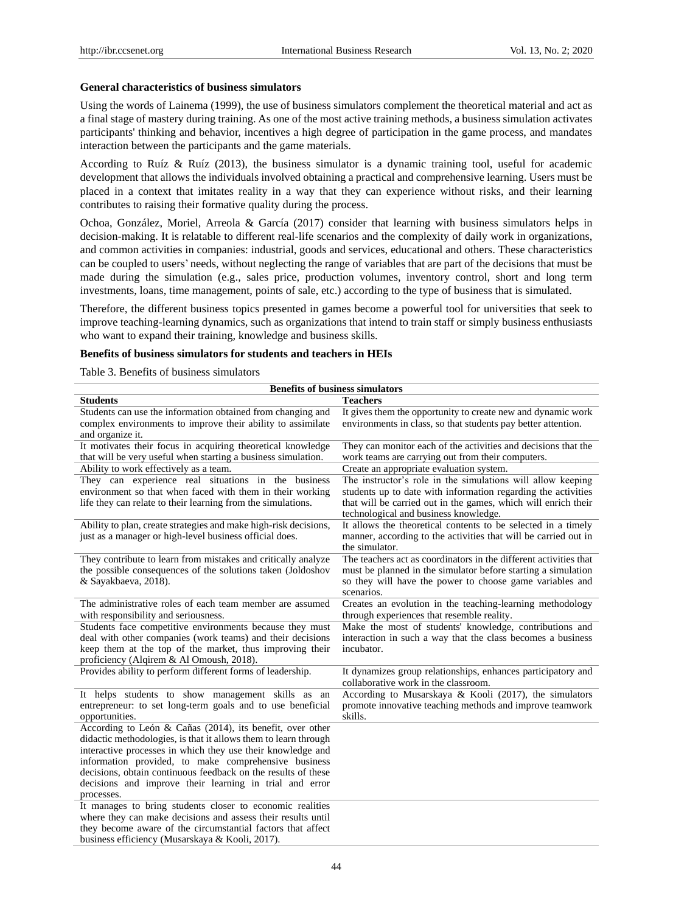## **General characteristics of business simulators**

Using the words of Lainema (1999), the use of business simulators complement the theoretical material and act as a final stage of mastery during training. As one of the most active training methods, a business simulation activates participants' thinking and behavior, incentives a high degree of participation in the game process, and mandates interaction between the participants and the game materials.

According to Ru  $\acute{\textbf{z}}$  & Ru  $\acute{\textbf{z}}$  (2013), the business simulator is a dynamic training tool, useful for academic development that allows the individuals involved obtaining a practical and comprehensive learning. Users must be placed in a context that imitates reality in a way that they can experience without risks, and their learning contributes to raising their formative quality during the process.

Ochoa, González, Moriel, Arreola & García (2017) consider that learning with business simulators helps in decision-making. It is relatable to different real-life scenarios and the complexity of daily work in organizations, and common activities in companies: industrial, goods and services, educational and others. These characteristics can be coupled to users' needs, without neglecting the range of variables that are part of the decisions that must be made during the simulation (e.g., sales price, production volumes, inventory control, short and long term investments, loans, time management, points of sale, etc.) according to the type of business that is simulated.

Therefore, the different business topics presented in games become a powerful tool for universities that seek to improve teaching-learning dynamics, such as organizations that intend to train staff or simply business enthusiasts who want to expand their training, knowledge and business skills.

## **Benefits of business simulators for students and teachers in HEIs**

Table 3. Benefits of business simulators

| <b>Benefits of business simulators</b>                                                                                                                                                                                                                                                                                                                                                        |                                                                                                                                                                                                                                         |  |  |
|-----------------------------------------------------------------------------------------------------------------------------------------------------------------------------------------------------------------------------------------------------------------------------------------------------------------------------------------------------------------------------------------------|-----------------------------------------------------------------------------------------------------------------------------------------------------------------------------------------------------------------------------------------|--|--|
| <b>Students</b>                                                                                                                                                                                                                                                                                                                                                                               | <b>Teachers</b>                                                                                                                                                                                                                         |  |  |
| Students can use the information obtained from changing and<br>complex environments to improve their ability to assimilate<br>and organize it.                                                                                                                                                                                                                                                | It gives them the opportunity to create new and dynamic work<br>environments in class, so that students pay better attention.                                                                                                           |  |  |
| It motivates their focus in acquiring theoretical knowledge<br>that will be very useful when starting a business simulation.                                                                                                                                                                                                                                                                  | They can monitor each of the activities and decisions that the<br>work teams are carrying out from their computers.                                                                                                                     |  |  |
| Ability to work effectively as a team.                                                                                                                                                                                                                                                                                                                                                        | Create an appropriate evaluation system.                                                                                                                                                                                                |  |  |
| They can experience real situations in the business<br>environment so that when faced with them in their working<br>life they can relate to their learning from the simulations.                                                                                                                                                                                                              | The instructor's role in the simulations will allow keeping<br>students up to date with information regarding the activities<br>that will be carried out in the games, which will enrich their<br>technological and business knowledge. |  |  |
| Ability to plan, create strategies and make high-risk decisions,<br>just as a manager or high-level business official does.                                                                                                                                                                                                                                                                   | It allows the theoretical contents to be selected in a timely<br>manner, according to the activities that will be carried out in<br>the simulator.                                                                                      |  |  |
| They contribute to learn from mistakes and critically analyze<br>the possible consequences of the solutions taken (Joldoshov<br>& Sayakbaeva, 2018).                                                                                                                                                                                                                                          | The teachers act as coordinators in the different activities that<br>must be planned in the simulator before starting a simulation<br>so they will have the power to choose game variables and<br>scenarios.                            |  |  |
| The administrative roles of each team member are assumed<br>with responsibility and seriousness.                                                                                                                                                                                                                                                                                              | Creates an evolution in the teaching-learning methodology<br>through experiences that resemble reality.                                                                                                                                 |  |  |
| Students face competitive environments because they must<br>deal with other companies (work teams) and their decisions<br>keep them at the top of the market, thus improving their<br>proficiency (Alqirem & Al Omoush, 2018).                                                                                                                                                                | Make the most of students' knowledge, contributions and<br>interaction in such a way that the class becomes a business<br>incubator.                                                                                                    |  |  |
| Provides ability to perform different forms of leadership.                                                                                                                                                                                                                                                                                                                                    | It dynamizes group relationships, enhances participatory and<br>collaborative work in the classroom.                                                                                                                                    |  |  |
| It helps students to show management skills as an<br>entrepreneur: to set long-term goals and to use beneficial<br>opportunities.                                                                                                                                                                                                                                                             | According to Musarskaya & Kooli (2017), the simulators<br>promote innovative teaching methods and improve teamwork<br>skills.                                                                                                           |  |  |
| According to León & Cañas (2014), its benefit, over other<br>didactic methodologies, is that it allows them to learn through<br>interactive processes in which they use their knowledge and<br>information provided, to make comprehensive business<br>decisions, obtain continuous feedback on the results of these<br>decisions and improve their learning in trial and error<br>processes. |                                                                                                                                                                                                                                         |  |  |
| It manages to bring students closer to economic realities<br>where they can make decisions and assess their results until<br>they become aware of the circumstantial factors that affect<br>business efficiency (Musarskaya & Kooli, 2017).                                                                                                                                                   |                                                                                                                                                                                                                                         |  |  |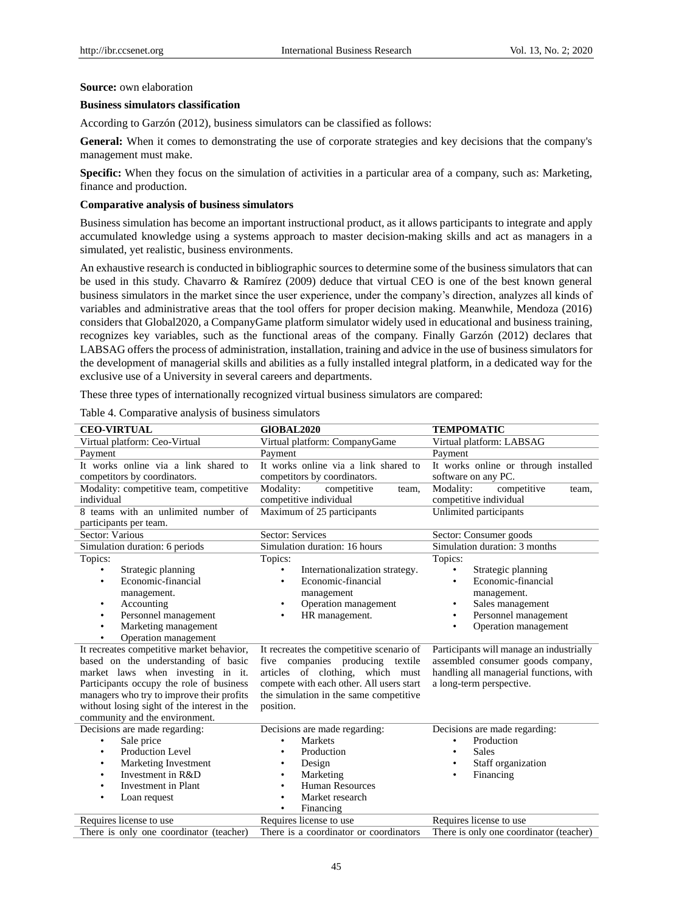#### **Source:** own elaboration

## **Business simulators classification**

According to Garzón (2012), business simulators can be classified as follows:

**General:** When it comes to demonstrating the use of corporate strategies and key decisions that the company's management must make.

**Specific:** When they focus on the simulation of activities in a particular area of a company, such as: Marketing, finance and production.

#### **Comparative analysis of business simulators**

Business simulation has become an important instructional product, as it allows participants to integrate and apply accumulated knowledge using a systems approach to master decision-making skills and act as managers in a simulated, yet realistic, business environments.

An exhaustive research is conducted in bibliographic sources to determine some of the business simulators that can be used in this study. Chavarro & Ram fez (2009) deduce that virtual CEO is one of the best known general business simulators in the market since the user experience, under the company's direction, analyzes all kinds of variables and administrative areas that the tool offers for proper decision making. Meanwhile, Mendoza (2016) considers that Global2020, a CompanyGame platform simulator widely used in educational and business training, recognizes key variables, such as the functional areas of the company. Finally Garzón (2012) declares that LABSAG offers the process of administration, installation, training and advice in the use of business simulators for the development of managerial skills and abilities as a fully installed integral platform, in a dedicated way for the exclusive use of a University in several careers and departments.

These three types of internationally recognized virtual business simulators are compared:

| <b>CEO-VIRTUAL</b>                                                   | <b>GIOBAL2020</b>                                                    | <b>TEMPOMATIC</b>                                           |
|----------------------------------------------------------------------|----------------------------------------------------------------------|-------------------------------------------------------------|
| Virtual platform: Ceo-Virtual                                        | Virtual platform: CompanyGame                                        | Virtual platform: LABSAG                                    |
| Payment                                                              | Payment                                                              | Payment                                                     |
| It works online via a link shared to<br>competitors by coordinators. | It works online via a link shared to<br>competitors by coordinators. | It works online or through installed<br>software on any PC. |
| Modality: competitive team, competitive                              | Modality:<br>competitive<br>team,                                    | Modality:<br>competitive<br>team,                           |
| individual                                                           | competitive individual                                               | competitive individual                                      |
| 8 teams with an unlimited number of                                  | Maximum of 25 participants                                           | Unlimited participants                                      |
| participants per team.                                               |                                                                      |                                                             |
| Sector: Various                                                      | <b>Sector: Services</b>                                              | Sector: Consumer goods                                      |
| Simulation duration: 6 periods                                       | Simulation duration: 16 hours                                        | Simulation duration: 3 months                               |
| Topics:                                                              | Topics:                                                              | Topics:                                                     |
| Strategic planning<br>٠                                              | Internationalization strategy.                                       | Strategic planning                                          |
| Economic-financial                                                   | Economic-financial                                                   | Economic-financial                                          |
| management.                                                          | management                                                           | management.                                                 |
| Accounting                                                           | Operation management                                                 | Sales management                                            |
| Personnel management<br>٠                                            | HR management.<br>٠                                                  | Personnel management                                        |
| Marketing management<br>٠                                            |                                                                      | Operation management                                        |
| Operation management                                                 |                                                                      |                                                             |
| It recreates competitive market behavior,                            | It recreates the competitive scenario of                             | Participants will manage an industrially                    |
| based on the understanding of basic                                  | companies producing<br>textile<br>five                               | assembled consumer goods company,                           |
| market laws when investing in it.                                    | of clothing,<br>articles<br>which must                               | handling all managerial functions, with                     |

Table 4. Comparative analysis of business simulators

market laws when investing in it. Participants occupy the role of business managers who try to improve their profits without losing sight of the interest in the community and the environment.

articles of clothing, which must compete with each other. All users start the simulation in the same competitive position.

handling all managerial functions, with a long-term perspective.

| Decisions are made regarding:           | Decisions are made regarding:          | Decisions are made regarding:           |
|-----------------------------------------|----------------------------------------|-----------------------------------------|
| Sale price                              | <b>Markets</b><br>٠                    | Production<br>٠                         |
| <b>Production Level</b>                 | Production<br>٠                        | Sales<br>٠                              |
| Marketing Investment<br>٠               | Design<br>٠                            | Staff organization<br>٠                 |
| Investment in R&D                       | Marketing<br>٠                         | Financing<br>٠                          |
| Investment in Plant<br>٠                | <b>Human Resources</b><br>٠            |                                         |
| Loan request<br>٠                       | Market research<br>٠                   |                                         |
|                                         | Financing<br>٠                         |                                         |
| Requires license to use                 | Requires license to use                | Requires license to use                 |
| There is only one coordinator (teacher) | There is a coordinator or coordinators | There is only one coordinator (teacher) |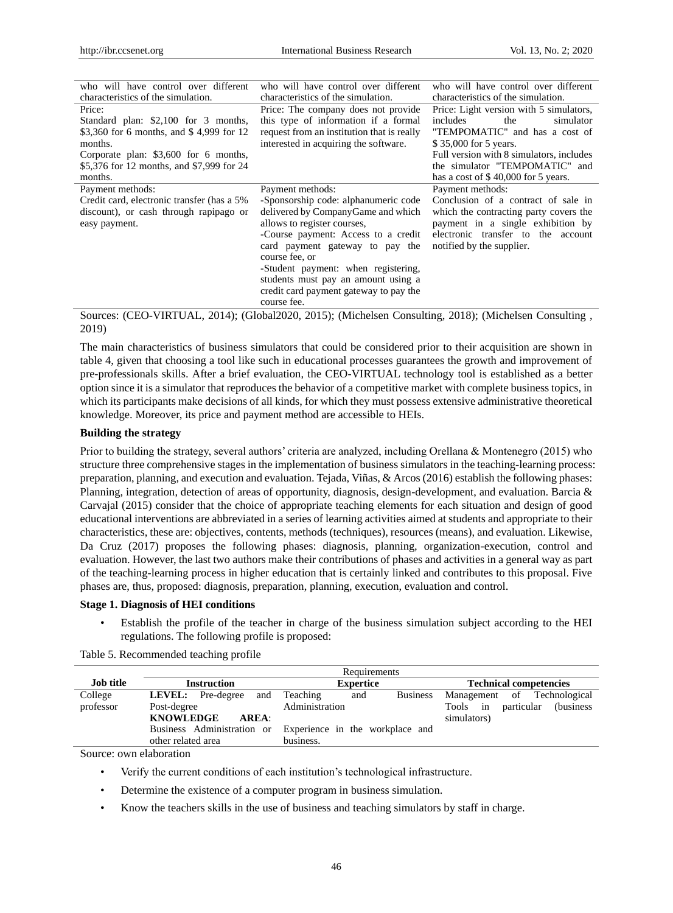| who will have control over different<br>characteristics of the simulation.                                                                                                                             | who will have control over different<br>characteristics of the simulation.                                                                                                                                                                                                                                                                                       | who will have control over different<br>characteristics of the simulation.                                                                                                                                                                              |
|--------------------------------------------------------------------------------------------------------------------------------------------------------------------------------------------------------|------------------------------------------------------------------------------------------------------------------------------------------------------------------------------------------------------------------------------------------------------------------------------------------------------------------------------------------------------------------|---------------------------------------------------------------------------------------------------------------------------------------------------------------------------------------------------------------------------------------------------------|
| Price:<br>Standard plan: \$2,100 for 3 months,<br>\$3,360 for 6 months, and \$4,999 for 12<br>months.<br>Corporate plan: \$3,600 for 6 months,<br>\$5,376 for 12 months, and \$7,999 for 24<br>months. | Price: The company does not provide<br>this type of information if a formal<br>request from an institution that is really<br>interested in acquiring the software.                                                                                                                                                                                               | Price: Light version with 5 simulators,<br>includes<br>the<br>simulator<br>"TEMPOMATIC" and has a cost of<br>\$35,000 for 5 years.<br>Full version with 8 simulators, includes<br>the simulator "TEMPOMATIC" and<br>has a cost of \$40,000 for 5 years. |
| Payment methods:<br>Credit card, electronic transfer (has a 5%<br>discount), or cash through rapipago or<br>easy payment.                                                                              | Payment methods:<br>-Sponsorship code: alphanumeric code<br>delivered by CompanyGame and which<br>allows to register courses.<br>-Course payment: Access to a credit<br>card payment gateway to pay the<br>course fee, or<br>-Student payment: when registering,<br>students must pay an amount using a<br>credit card payment gateway to pay the<br>course fee. | Payment methods:<br>Conclusion of a contract of sale in<br>which the contracting party covers the<br>payment in a single exhibition by<br>electronic transfer to the account<br>notified by the supplier.                                               |

Sources: (CEO-VIRTUAL, 2014); (Global2020, 2015); (Michelsen Consulting, 2018); (Michelsen Consulting , 2019)

The main characteristics of business simulators that could be considered prior to their acquisition are shown in table 4, given that choosing a tool like such in educational processes guarantees the growth and improvement of pre-professionals skills. After a brief evaluation, the CEO-VIRTUAL technology tool is established as a better option since it is a simulator that reproduces the behavior of a competitive market with complete business topics, in which its participants make decisions of all kinds, for which they must possess extensive administrative theoretical knowledge. Moreover, its price and payment method are accessible to HEIs.

## **Building the strategy**

Prior to building the strategy, several authors' criteria are analyzed, including Orellana & Montenegro (2015) who structure three comprehensive stages in the implementation of business simulators in the teaching-learning process: preparation, planning, and execution and evaluation. Tejada, Viñas, & Arcos (2016) establish the following phases: Planning, integration, detection of areas of opportunity, diagnosis, design-development, and evaluation. Barcia & Carvajal (2015) consider that the choice of appropriate teaching elements for each situation and design of good educational interventions are abbreviated in a series of learning activities aimed at students and appropriate to their characteristics, these are: objectives, contents, methods (techniques), resources (means), and evaluation. Likewise, Da Cruz (2017) proposes the following phases: diagnosis, planning, organization-execution, control and evaluation. However, the last two authors make their contributions of phases and activities in a general way as part of the teaching-learning process in higher education that is certainly linked and contributes to this proposal. Five phases are, thus, proposed: diagnosis, preparation, planning, execution, evaluation and control.

# **Stage 1. Diagnosis of HEI conditions**

• Establish the profile of the teacher in charge of the business simulation subject according to the HEI regulations. The following profile is proposed:

Table 5. Recommended teaching profile

|                                    |                                       | Requirements                                               |                                      |
|------------------------------------|---------------------------------------|------------------------------------------------------------|--------------------------------------|
| <b>Job title</b>                   | <b>Instruction</b>                    | <b>Expertice</b>                                           | <b>Technical competencies</b>        |
| College                            | <b>LEVEL:</b> Pre-degree and Teaching | and                                                        | Business Management of Technological |
| professor                          | Post-degree                           | Administration                                             | Tools in particular (business        |
|                                    | <b>KNOWLEDGE</b><br>AREA:             |                                                            | simulators)                          |
|                                    |                                       | Business Administration or Experience in the workplace and |                                      |
|                                    | other related area                    | business.                                                  |                                      |
| $\sim$ $\sim$ $\sim$ $\sim$ $\sim$ |                                       |                                                            |                                      |

Source: own elaboration

• Verify the current conditions of each institution's technological infrastructure.

• Determine the existence of a computer program in business simulation.

• Know the teachers skills in the use of business and teaching simulators by staff in charge.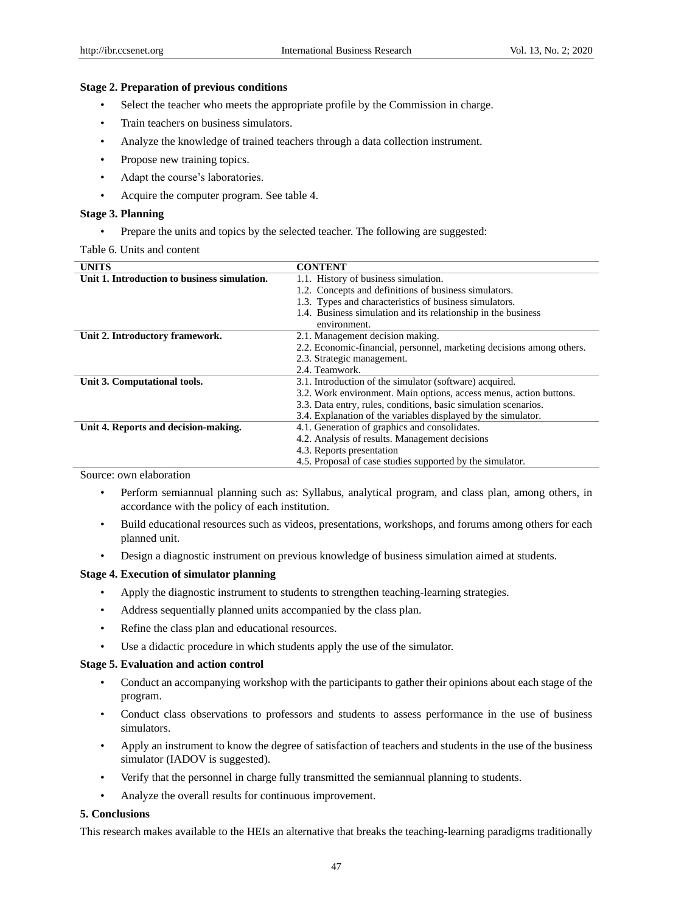## **Stage 2. Preparation of previous conditions**

- Select the teacher who meets the appropriate profile by the Commission in charge.
- Train teachers on business simulators.
- Analyze the knowledge of trained teachers through a data collection instrument.
- Propose new training topics.
- Adapt the course's laboratories.
- Acquire the computer program. See table 4.

## **Stage 3. Planning**

• Prepare the units and topics by the selected teacher. The following are suggested:

Table 6. Units and content

| <b>UNITS</b>                                 | <b>CONTENT</b>                                                        |  |
|----------------------------------------------|-----------------------------------------------------------------------|--|
| Unit 1. Introduction to business simulation. | 1.1. History of business simulation.                                  |  |
|                                              | 1.2. Concepts and definitions of business simulators.                 |  |
|                                              | 1.3. Types and characteristics of business simulators.                |  |
|                                              | 1.4. Business simulation and its relationship in the business         |  |
|                                              | environment.                                                          |  |
| Unit 2. Introductory framework.              | 2.1. Management decision making.                                      |  |
|                                              | 2.2. Economic-financial, personnel, marketing decisions among others. |  |
|                                              | 2.3. Strategic management.                                            |  |
|                                              | 2.4. Teamwork.                                                        |  |
| Unit 3. Computational tools.                 | 3.1. Introduction of the simulator (software) acquired.               |  |
|                                              | 3.2. Work environment. Main options, access menus, action buttons.    |  |
|                                              | 3.3. Data entry, rules, conditions, basic simulation scenarios.       |  |
|                                              | 3.4. Explanation of the variables displayed by the simulator.         |  |
| Unit 4. Reports and decision-making.         | 4.1. Generation of graphics and consolidates.                         |  |
|                                              | 4.2. Analysis of results. Management decisions                        |  |
|                                              | 4.3. Reports presentation                                             |  |
|                                              | 4.5. Proposal of case studies supported by the simulator.             |  |

Source: own elaboration

- Perform semiannual planning such as: Syllabus, analytical program, and class plan, among others, in accordance with the policy of each institution.
- Build educational resources such as videos, presentations, workshops, and forums among others for each planned unit.
- Design a diagnostic instrument on previous knowledge of business simulation aimed at students.

#### **Stage 4. Execution of simulator planning**

- Apply the diagnostic instrument to students to strengthen teaching-learning strategies.
- Address sequentially planned units accompanied by the class plan.
- Refine the class plan and educational resources.
- Use a didactic procedure in which students apply the use of the simulator.

# **Stage 5. Evaluation and action control**

- Conduct an accompanying workshop with the participants to gather their opinions about each stage of the program.
- Conduct class observations to professors and students to assess performance in the use of business simulators.
- Apply an instrument to know the degree of satisfaction of teachers and students in the use of the business simulator (IADOV is suggested).
- Verify that the personnel in charge fully transmitted the semiannual planning to students.
- Analyze the overall results for continuous improvement.

# **5. Conclusions**

This research makes available to the HEIs an alternative that breaks the teaching-learning paradigms traditionally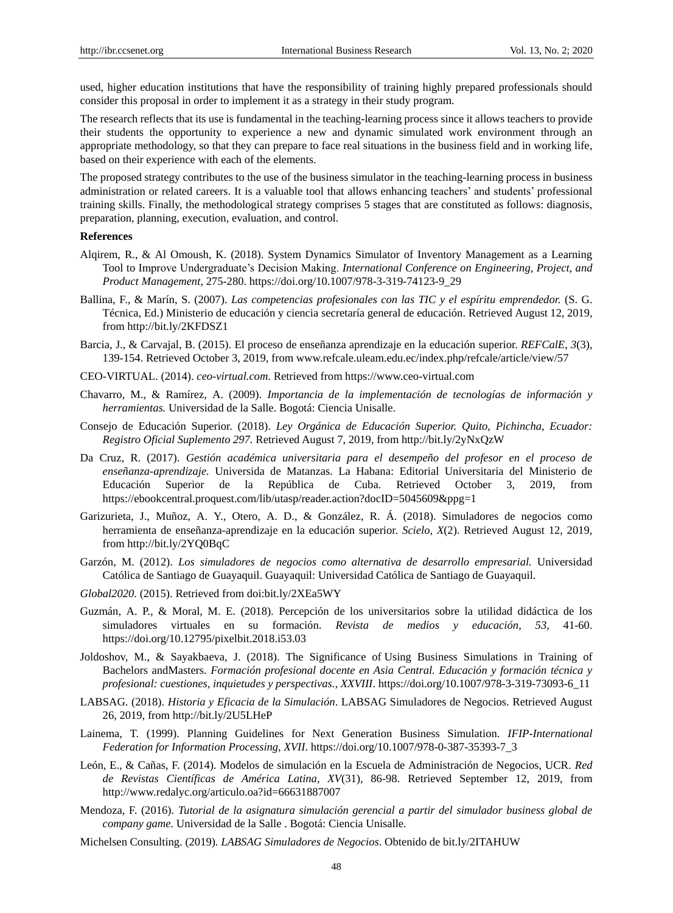used, higher education institutions that have the responsibility of training highly prepared professionals should consider this proposal in order to implement it as a strategy in their study program.

The research reflects that its use is fundamental in the teaching-learning process since it allows teachers to provide their students the opportunity to experience a new and dynamic simulated work environment through an appropriate methodology, so that they can prepare to face real situations in the business field and in working life, based on their experience with each of the elements.

The proposed strategy contributes to the use of the business simulator in the teaching-learning process in business administration or related careers. It is a valuable tool that allows enhancing teachers' and students' professional training skills. Finally, the methodological strategy comprises 5 stages that are constituted as follows: diagnosis, preparation, planning, execution, evaluation, and control.

## **References**

- Alqirem, R., & Al Omoush, K. (2018). System Dynamics Simulator of Inventory Management as a Learning Tool to Improve Undergraduate's Decision Making. *International Conference on Engineering, Project, and Product Management*, 275-280. https://doi.org/10.1007/978-3-319-74123-9\_29
- Ballina, F., & Marín, S. (2007). *Las competencias profesionales con las TIC y el espíritu emprendedor.* (S. G. Técnica, Ed.) Ministerio de educación y ciencia secretaría general de educación. Retrieved August 12, 2019, from http://bit.ly/2KFDSZ1
- Barcia, J., & Carvajal, B. (2015). El proceso de enseñanza aprendizaje en la educación superior. *REFCalE, 3*(3), 139-154. Retrieved October 3, 2019, from www.refcale.uleam.edu.ec/index.php/refcale/article/view/57
- CEO-VIRTUAL. (2014). *ceo-virtual.com*. Retrieved from https://www.ceo-virtual.com
- Chavarro, M., & Ramírez, A. (2009). *Importancia de la implementación de tecnologías de información y herramientas.* Universidad de la Salle. Bogot á Ciencia Unisalle.
- Consejo de Educación Superior. (2018). *Ley Orgánica de Educación Superior. Quito, Pichincha, Ecuador: Registro Oficial Suplemento 297.* Retrieved August 7, 2019, from http://bit.ly/2yNxQzW
- Da Cruz, R. (2017). *Gestión académica universitaria para el desempeño del profesor en el proceso de enseñanza-aprendizaje.* Universida de Matanzas. La Habana: Editorial Universitaria del Ministerio de Educación Superior de la República de Cuba. Retrieved October 3, 2019, from https://ebookcentral.proquest.com/lib/utasp/reader.action?docID=5045609&ppg=1
- Garizurieta, J., Muñoz, A. Y., Otero, A. D., & González, R. Á. (2018). Simuladores de negocios como herramienta de enseñanza-aprendizaje en la educación superior. *Scielo, X*(2). Retrieved August 12, 2019, from http://bit.ly/2YQ0BqC
- Garzón, M. (2012). *Los simuladores de negocios como alternativa de desarrollo empresarial.* Universidad Católica de Santiago de Guayaquil. Guayaquil: Universidad Católica de Santiago de Guayaquil.
- *Global2020*. (2015). Retrieved from doi:bit.ly/2XEa5WY
- Guzmán, A. P., & Moral, M. E. (2018). Percepción de los universitarios sobre la utilidad didáctica de los simuladores virtuales en su formación. *Revista de medios y educación, 53,* 41-60. https://doi.org/10.12795/pixelbit.2018.i53.03
- Joldoshov, M., & Sayakbaeva, J. (2018). The Significance of Using Business Simulations in Training of Bachelors andMasters. *Formación profesional docente en Asia Central. Educación y formación técnica y profesional: cuestiones, inquietudes y perspectivas., XXVIII*. https://doi.org/10.1007/978-3-319-73093-6\_11
- LABSAG. (2018). *Historia y Eficacia de la Simulación*. LABSAG Simuladores de Negocios. Retrieved August 26, 2019, from http://bit.ly/2U5LHeP
- Lainema, T. (1999). Planning Guidelines for Next Generation Business Simulation. *IFIP-International Federation for Information Processing, XVII*. https://doi.org/10.1007/978-0-387-35393-7\_3
- León, E., & Cañas, F. (2014). Modelos de simulación en la Escuela de Administración de Negocios, UCR. *Red de Revistas Científicas de América Latina, XV*(31), 86-98. Retrieved September 12, 2019, from http://www.redalyc.org/articulo.oa?id=66631887007
- Mendoza, F. (2016). *Tutorial de la asignatura simulación gerencial a partir del simulador business global de company game.* Universidad de la Salle . Bogotá: Ciencia Unisalle.
- Michelsen Consulting. (2019). *LABSAG Simuladores de Negocios*. Obtenido de bit.ly/2ITAHUW